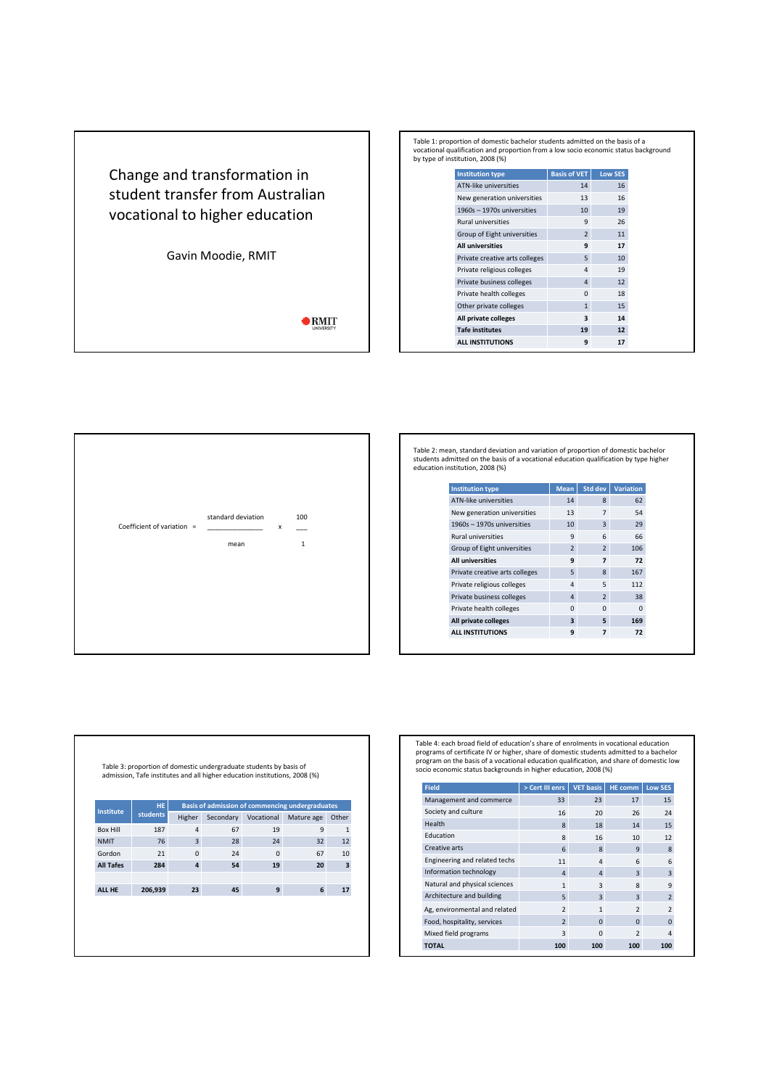Change and transformation in student transfer from Australian vocational to higher education

Gavin Moodie, RMIT

 $\bullet$  RMIT

|  | Table 1: proportion of domestic bachelor students admitted on the basis of a<br>vocational qualification and proportion from a low socio economic status background<br>by type of institution, 2008 (%) |                     |                 |  |
|--|---------------------------------------------------------------------------------------------------------------------------------------------------------------------------------------------------------|---------------------|-----------------|--|
|  | <b>Institution type</b>                                                                                                                                                                                 | <b>Basis of VET</b> | <b>Low SES</b>  |  |
|  | <b>ATN-like universities</b>                                                                                                                                                                            | 14                  | 16              |  |
|  | New generation universities                                                                                                                                                                             | 13                  | 16              |  |
|  | 1960s - 1970s universities                                                                                                                                                                              | 10                  | 19              |  |
|  | <b>Rural universities</b>                                                                                                                                                                               | 9                   | 26              |  |
|  | Group of Eight universities                                                                                                                                                                             | $\overline{2}$      | 11              |  |
|  | <b>All universities</b>                                                                                                                                                                                 | 9                   | 17              |  |
|  | Private creative arts colleges                                                                                                                                                                          | 5                   | 10              |  |
|  | Private religious colleges                                                                                                                                                                              | 4                   | 19              |  |
|  | Private business colleges                                                                                                                                                                               | $\overline{a}$      | 12              |  |
|  | Private health colleges                                                                                                                                                                                 | $\Omega$            | 18              |  |
|  | Other private colleges                                                                                                                                                                                  | $\mathbf{1}$        | 15              |  |
|  | All private colleges                                                                                                                                                                                    | 3                   | 14              |  |
|  | <b>Tafe institutes</b>                                                                                                                                                                                  | 19                  | 12 <sup>1</sup> |  |
|  | <b>ALL INSTITUTIONS</b>                                                                                                                                                                                 | 9                   | 17              |  |



Table 2: mean, standard deviation and variation of proportion of domestic bachelor students admitted on the basis of a vocational education qualification by type higher education institution, 2008 (%)

| <b>Institution type</b>        | <b>Mean</b>             | Std dev                  | <b>Variation</b> |
|--------------------------------|-------------------------|--------------------------|------------------|
| <b>ATN-like universities</b>   | 14                      | 8                        | 62               |
| New generation universities    | 13                      | $\overline{7}$           | 54               |
| 1960s - 1970s universities     | 10                      | 3                        | 29               |
| <b>Rural universities</b>      | 9                       | 6                        | 66               |
| Group of Eight universities    | $\overline{2}$          | $\overline{2}$           | 106              |
| <b>All universities</b>        | 9                       | $\overline{\phantom{a}}$ | 72               |
| Private creative arts colleges | 5                       | $\mathbf{8}$             | 167              |
| Private religious colleges     | 4                       | 5                        | 112              |
| Private business colleges      | $\Delta$                | $\overline{\phantom{0}}$ | 38               |
| Private health colleges        | $\Omega$                | $\Omega$                 | 0                |
| All private colleges           | $\overline{\mathbf{a}}$ | 5                        | 169              |
| <b>ALL INSTITUTIONS</b>        | 9                       | 7                        | 72               |

Table 4: each broad field of education's share of enrolments in vocational education programs of certificate IV or higher, share of domestic students admitted to a bachelor<br>program on the basis of a vocational education qualification, and share of domestic low<br>socio economic status backgrounds in higher ed

| <b>Field</b>                  | > Cert III enrs          | <b>VET basis</b> | HE comm        | <b>Low SES</b> |
|-------------------------------|--------------------------|------------------|----------------|----------------|
| Management and commerce       | 33                       | 23               | 17             | 15             |
| Society and culture           | 16                       | 20               | 26             | 24             |
| Health                        | 8                        | 18               | 14             | 15             |
| <b>Education</b>              | 8                        | 16               | 10             | 12             |
| Creative arts                 | 6                        | 8                | $\mathbf{q}$   | 8              |
| Engineering and related techs | 11                       | 4                | 6              | 6              |
| Information technology        | $\Delta$                 | 4                | 3              | $\overline{3}$ |
| Natural and physical sciences | $\mathbf{1}$             | 3                | 8              | 9              |
| Architecture and building     | $\overline{5}$           | 3                | 3              | $\overline{2}$ |
| Ag, environmental and related | $\overline{2}$           | $\mathbf{1}$     | $\overline{2}$ | $\overline{2}$ |
| Food, hospitality, services   | $\overline{\phantom{0}}$ | $\Omega$         | $\Omega$       | $\Omega$       |
| Mixed field programs          | 3                        | $\Omega$         | $\overline{2}$ |                |
| <b>TOTAL</b>                  | 100                      | 100              | 100            | 100            |

Table 3: proportion of domestic undergraduate students by basis of admission, Tafe institutes and all higher education institutions, 2008 (%)

| <b>Institute</b> | HE.             |                |           |            | Basis of admission of commencing undergraduates |                         |
|------------------|-----------------|----------------|-----------|------------|-------------------------------------------------|-------------------------|
|                  | <b>students</b> | Higher         | Secondary | Vocational | Mature age                                      | Other                   |
| <b>Box Hill</b>  | 187             | $\overline{4}$ | 67        | 19         | 9                                               | $\mathbf{1}$            |
| <b>NMIT</b>      | 76              | 3              | 28        | 24         | 32                                              | 12                      |
| Gordon           | 21              | $\Omega$       | 24        | $\Omega$   | 67                                              | 10                      |
| <b>All Tafes</b> | 284             | $\overline{a}$ | 54        | 19         | 20                                              | $\overline{\mathbf{3}}$ |
|                  |                 |                |           |            |                                                 |                         |
| ALL HE           | 206,939         | 23             | 45        | 9          | 6                                               | 17                      |
|                  |                 |                |           |            |                                                 |                         |
|                  |                 |                |           |            |                                                 |                         |